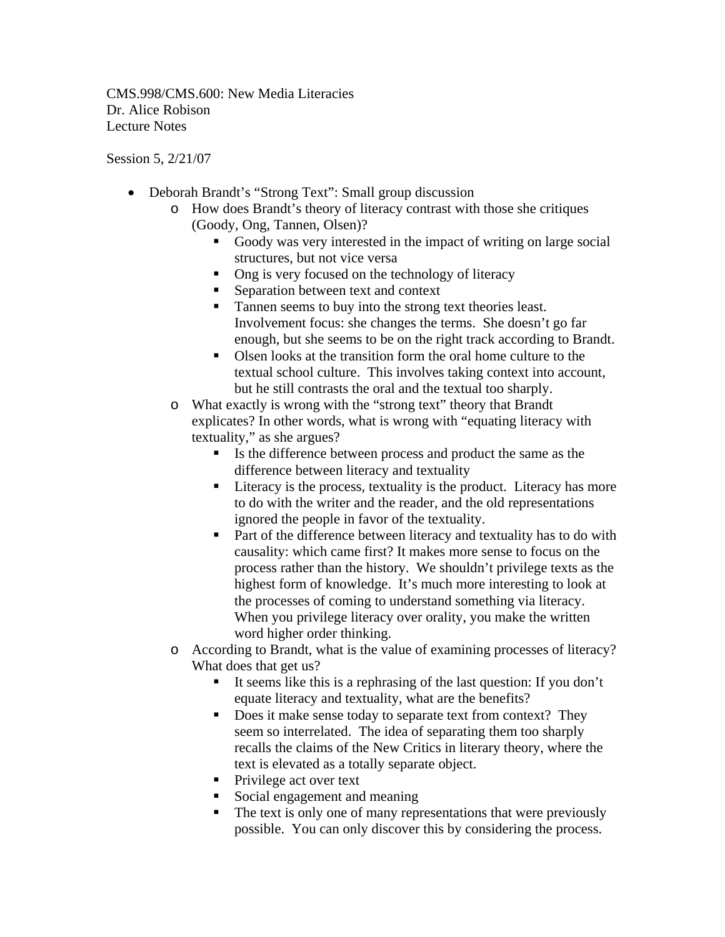CMS.998/CMS.600: New Media Literacies Dr. Alice Robison Lecture Notes

Session 5, 2/21/07

- Deborah Brandt's "Strong Text": Small group discussion
	- o How does Brandt's theory of literacy contrast with those she critiques (Goody, Ong, Tannen, Olsen)?
		- Goody was very interested in the impact of writing on large social structures, but not vice versa
		- Ong is very focused on the technology of literacy
		- Separation between text and context
		- Tannen seems to buy into the strong text theories least. Involvement focus: she changes the terms. She doesn't go far enough, but she seems to be on the right track according to Brandt.
		- Olsen looks at the transition form the oral home culture to the textual school culture. This involves taking context into account, but he still contrasts the oral and the textual too sharply.
	- o What exactly is wrong with the "strong text" theory that Brandt explicates? In other words, what is wrong with "equating literacy with textuality," as she argues?
		- Is the difference between process and product the same as the difference between literacy and textuality
		- Literacy is the process, textuality is the product. Literacy has more to do with the writer and the reader, and the old representations ignored the people in favor of the textuality.
		- **Part of the difference between literacy and textuality has to do with** causality: which came first? It makes more sense to focus on the process rather than the history. We shouldn't privilege texts as the highest form of knowledge. It's much more interesting to look at the processes of coming to understand something via literacy. When you privilege literacy over orality, you make the written word higher order thinking.
	- o According to Brandt, what is the value of examining processes of literacy? What does that get us?
		- It seems like this is a rephrasing of the last question: If you don't equate literacy and textuality, what are the benefits?
		- Does it make sense today to separate text from context? They seem so interrelated. The idea of separating them too sharply recalls the claims of the New Critics in literary theory, where the text is elevated as a totally separate object.
		- Privilege act over text
		- Social engagement and meaning
		- The text is only one of many representations that were previously possible. You can only discover this by considering the process.